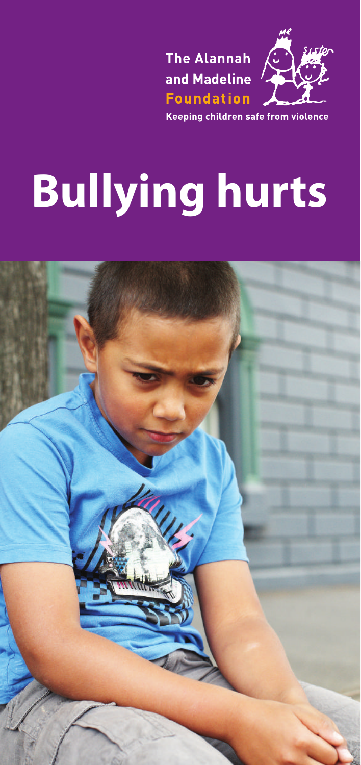



Keeping children safe from violence

# **Bullying hurts**

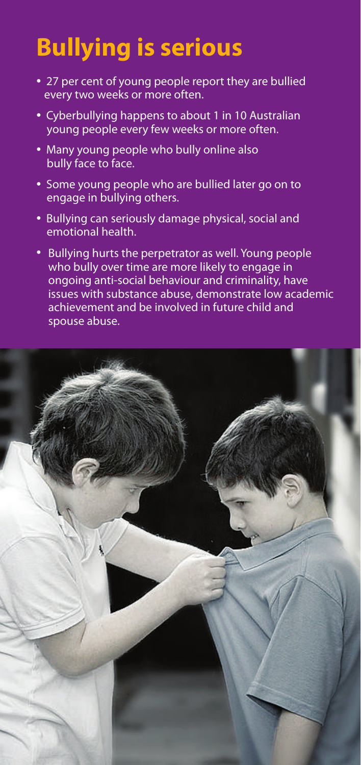# **Bullying is serious**

- 27 per cent of young people report they are bullied every two weeks or more often.
- Cyberbullying happens to about 1 in 10 Australian young people every few weeks or more often.
- Many young people who bully online also bully face to face.
- Some young people who are bullied later go on to engage in bullying others.
- Bullying can seriously damage physical, social and emotional health.
- Bullying hurts the perpetrator as well. Young people who bully over time are more likely to engage in ongoing anti-social behaviour and criminality, have issues with substance abuse, demonstrate low academic achievement and be involved in future child and spouse abuse.

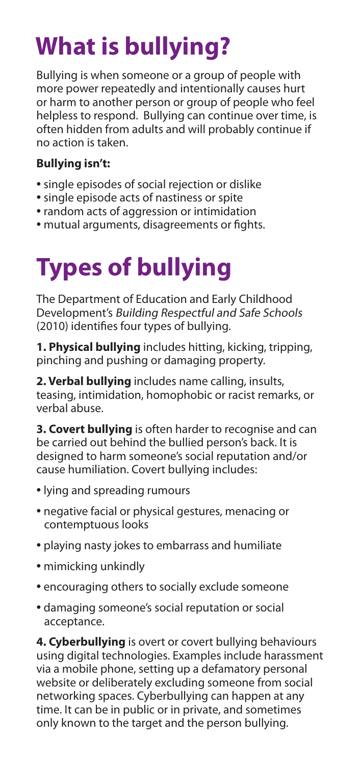# **What is bullying?**

Bullying is when someone or a group of people with more power repeatedly and intentionally causes hurt or harm to another person or group of people who feel helpless to respond. Bullying can continue over time, is often hidden from adults and will probably continue if no action is taken.

#### **Bullying isn't:**

- single episodes of social rejection or dislike
- single episode acts of nastiness or spite
- random acts of aggression or intimidation
- mutual arguments, disagreements or fights.

# **Types of bullying**

The Department of Education and Early Childhood Development's Building Respectful and Safe Schools (2010) identifies four types of bullying.

**1. Physical bullying** includes hitting, kicking, tripping, pinching and pushing or damaging property.

**2. Verbal bullying** includes name calling, insults, teasing, intimidation, homophobic or racist remarks, or verbal abuse.

**3. Covert bullying** is often harder to recognise and can be carried out behind the bullied person's back. It is designed to harm someone's social reputation and/or cause humiliation. Covert bullying includes:

- lying and spreading rumours
- negative facial or physical gestures, menacing or contemptuous looks
- playing nasty jokes to embarrass and humiliate
- mimicking unkindly
- encouraging others to socially exclude someone
- damaging someone's social reputation or social acceptance.

**4. Cyberbullying** is overt or covert bullying behaviours using digital technologies. Examples include harassment via a mobile phone, setting up a defamatory personal website or deliberately excluding someone from social networking spaces. Cyberbullying can happen at any time. It can be in public or in private, and sometimes only known to the target and the person bullying.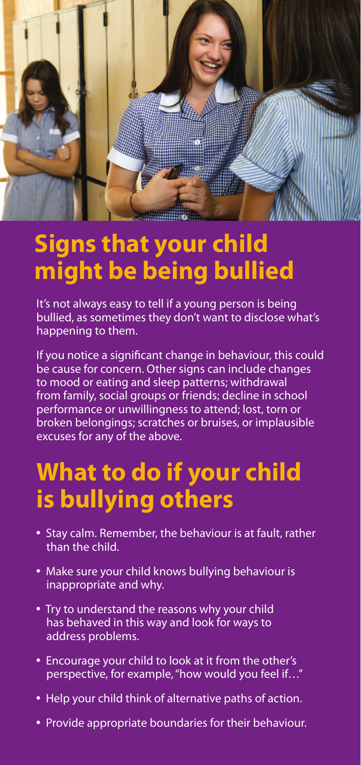

#### **Signs that your child might be being bullied**

It's not always easy to tell if a young person is being bullied, as sometimes they don't want to disclose what's happening to them.

If you notice a significant change in behaviour, this could be cause for concern. Other signs can include changes to mood or eating and sleep patterns; withdrawal from family, social groups or friends; decline in school performance or unwillingness to attend; lost, torn or broken belongings; scratches or bruises, or implausible excuses for any of the above.

#### **What to do if your child is bullying others**

- Stay calm. Remember, the behaviour is at fault, rather than the child.
- Make sure your child knows bullying behaviour is inappropriate and why.
- Try to understand the reasons why your child has behaved in this way and look for ways to address problems.
- Encourage your child to look at it from the other's perspective, for example, "how would you feel if…"
- Help your child think of alternative paths of action.
- Provide appropriate boundaries for their behaviour.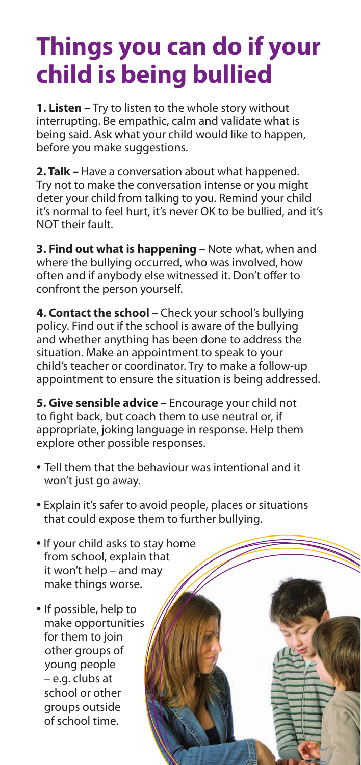### **Things you can do if your child is being bullied**

**1. Listen –** Try to listen to the whole story without interrupting. Be empathic, calm and validate what is being said. Ask what your child would like to happen, before you make suggestions.

**2. Talk –** Have a conversation about what happened. Try not to make the conversation intense or you might deter your child from talking to you. Remind your child it's normal to feel hurt, it's never OK to be bullied, and it's NOT their fault.

**3. Find out what is happening –** Note what, when and where the bullying occurred, who was involved, how often and if anybody else witnessed it. Don't offer to confront the person yourself.

**4. Contact the school –** Check your school's bullying policy. Find out if the school is aware of the bullying and whether anything has been done to address the situation. Make an appointment to speak to your child's teacher or coordinator. Try to make a follow-up appointment to ensure the situation is being addressed.

**5. Give sensible advice –** Encourage your child not to fight back, but coach them to use neutral or, if appropriate, joking language in response. Help them explore other possible responses.

- Tell them that the behaviour was intentional and it won't just go away.
- Explain it's safer to avoid people, places or situations that could expose them to further bullying.
- If your child asks to stay home from school, explain that it won't help – and may make things worse.
- If possible, help to make opportunities for them to join other groups of young people – e.g. clubs at school or other groups outside of school time.